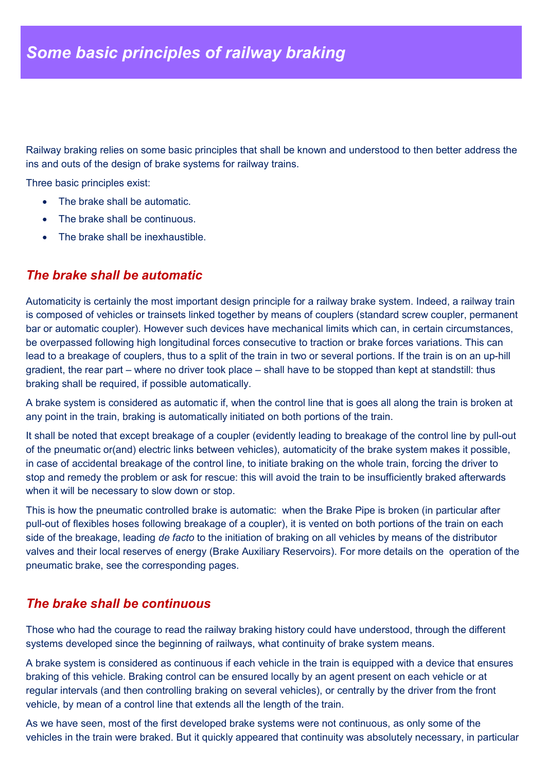Railway braking relies on some basic principles that shall be known and understood to then better address the ins and outs of the design of brake systems for railway trains.

Three basic principles exist:

- The brake shall be automatic.
- The brake shall be continuous.
- The brake shall be inexhaustible.

## *The brake shall be automatic*

Automaticity is certainly the most important design principle for a railway brake system. Indeed, a railway train is composed of vehicles or trainsets linked together by means of couplers (standard screw coupler, permanent bar or automatic coupler). However such devices have mechanical limits which can, in certain circumstances, be overpassed following high longitudinal forces consecutive to traction or brake forces variations. This can lead to a breakage of couplers, thus to a split of the train in two or several portions. If the train is on an up-hill gradient, the rear part – where no driver took place – shall have to be stopped than kept at standstill: thus braking shall be required, if possible automatically.

A brake system is considered as automatic if, when the control line that is goes all along the train is broken at any point in the train, braking is automatically initiated on both portions of the train.

It shall be noted that except breakage of a coupler (evidently leading to breakage of the control line by pull-out of the pneumatic or(and) electric links between vehicles), automaticity of the brake system makes it possible, in case of accidental breakage of the control line, to initiate braking on the whole train, forcing the driver to stop and remedy the problem or ask for rescue: this will avoid the train to be insufficiently braked afterwards when it will be necessary to slow down or stop.

This is how the pneumatic controlled brake is automatic: when the Brake Pipe is broken (in particular after pull-out of flexibles hoses following breakage of a coupler), it is vented on both portions of the train on each side of the breakage, leading *de facto* to the initiation of braking on all vehicles by means of the distributor valves and their local reserves of energy (Brake Auxiliary Reservoirs). For more details on the operation of the pneumatic brake, see the corresponding pages.

## *The brake shall be continuous*

Those who had the courage to read the railway braking history could have understood, through the different systems developed since the beginning of railways, what continuity of brake system means.

A brake system is considered as continuous if each vehicle in the train is equipped with a device that ensures braking of this vehicle. Braking control can be ensured locally by an agent present on each vehicle or at regular intervals (and then controlling braking on several vehicles), or centrally by the driver from the front vehicle, by mean of a control line that extends all the length of the train.

As we have seen, most of the first developed brake systems were not continuous, as only some of the vehicles in the train were braked. But it quickly appeared that continuity was absolutely necessary, in particular